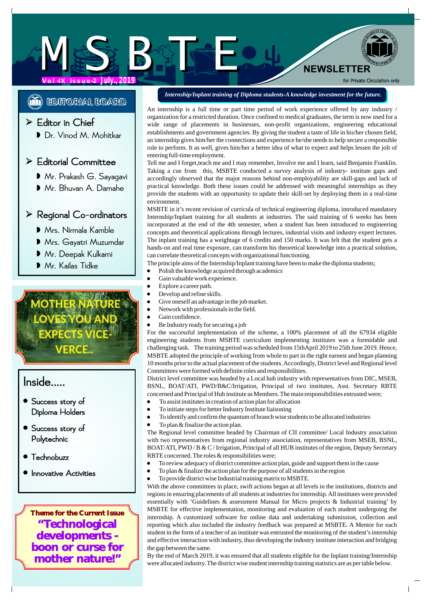**Vol-IX Issue-2 July., 2019**

**(i) EDITORIAL BOARD** 

## Ed itor in Chief

Dr. Vinod M. Mohitkar |

### Ed itorial Committee

- M r.PrakashG.Sayagavi
- M r.BhuvanA.Damahe

### Re gional Co-ordinators

- Mrs. Nirmala Kamble **Ingel**
- Mrs. Nirmala Kamble<br>Mrs. Gayatri Muzumdar
- Mr. Deepak Kulkarni
- M r.KailasTidke

# /ERCE..

# Inside.....

- D iploma Holders **•** Success story of
- P o lytechnic S uccess story of
- **Technobuzz**
- **•** Innovative Activities

**Theme for the Current Issue "Technological developments boon or curse for mother nature!"**

### *Internship/Inplant training of Diploma students-A knowledge investment for the future.*

**NEWSLETTER** 

for Private Circulation only

An internship is a full time or part time period of work experience offered by any industry / organization for a restricted duration. Once confined to medical graduates, the term is now used for a wide range of placements in businesses, non-profit organizations, engineering educational establishments and government agencies. By giving the student a taste of life in his/her chosen field, an internship gives him/her the connections and experience he/she needs to help secure a responsible role to perform. It as well, gives him/her a better idea of what to expect and helps lessen the jolt of entering full-time employment.

Tell me and I forget,teach me and I may remember, Involve me and I learn, said Benjamin Franklin. Taking a cue from this, MSBTE conducted a survey analysis of industry- institute gaps and accordingly observed that the major reasons behind non-employability are skill-gaps and lack of practical knowledge. Both these issues could be addressed with meaningful internships as they provide the students with an opportunity to update their skill-set by deploying them in a real-time environment.

MSBTE in it's recent revision of curricula of technical engineering diploma, introduced mandatory Internship/Inplant training for all students at industries. The said training of 6 weeks has been incorporated at the end of the 4th semester, when a student has been introduced to engineering concepts and theoretical applications through lectures, industrial visits and industry expert lectures. The inplant training has a weightage of 6 credits and 150 marks. It was felt that the student gets a hands-on and real time exposure, can transform his theoretical knowledge into a practical solution, can correlate theoretical concepts with organizational functioning.

- The principle aims of the Internship/Inplant training have been to make the diploma students;
- Polish the knowledge acquired through academics
- · Gain valuable work experience.
- · Explore a career path.
- Develop and refine skills.
- Give oneself an advantage in the job market.
- Network with professionals in the field.
- Gain confidence.
- · Be Industry ready for securing a job

For the successful implementation of the scheme, a 100% placement of all the 67934 eligible engineering students from MSBTE curriculum implementing institutes was a formidable and challenging task. The training period was scheduled from 15thApril 2019 to 25th June 2019. Hence, MSBTE adopted the principle of working from whole to part in the right earnest and began planning 10 months prior to the actual placement of the students. Accordingly, District level and Regional level Committees were formed with definite roles and responsibilities.

District level committee was headed by a Local hub industry with representatives from DIC, MSEB, BSNL, BOAT/ATI, PWD/B&C/Irrigation, Principal of two institutes, Asst. Secretary RBTE concerned and Principal of Hub institute as Members. The main responsibilities entrusted were;

- To assist institutes in creation of action plan for allocation
- · To initiate steps for better Industry Institute liaisoning
- · To identify and confirm the quantum of branch wise students to be allocated industries
- To plan & finalize the action plan.

The Regional level committee headed by Chairman of CII committee/ Local Industry association with two representatives from regional industry association, representatives from MSEB, BSNL, BOAT/ATI, PWD / B & C / Irrigation, Principal of all HUB institutes of the region, Deputy Secretary RBTE concerned. The roles & responsibilities were;

- · To review adequacy of district committee action plan, guide and support them in the cause
- To plan & finalize the action plan for the purpose of all students in the region
- To provide district wise Industrial training matrix to MSBTE.

With the above committees in place, swift actions began at all levels in the institutions, districts and regions in ensuring placements of all students at industries for internship. All institutes were provided essentially with 'Guidelines & assessment Manual for Micro projects & Industrial training' by MSBTE for effective implementation, monitoring and evaluation of each student undergoing the internship. A customized software for online data and undertaking submission, collection and reporting which also included the industry feedback was prepared at MSBTE. A Mentor for each student in the form of a teacher of an institute was entrusted the monitoring of the student's internship and effective interaction with industry, thus developing the industry institute interaction and bridging the gap between the same.

By the end of March 2019, it was ensured that all students eligible for the Inplant training/Internship were allocated industry. The district wise student internship training statistics are as per table below.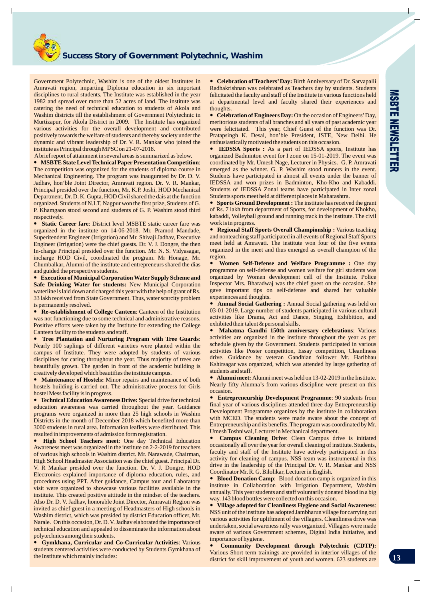

Government Polytechnic, Washim is one of the oldest Institutes in Amravati region, imparting Diploma education in six important disciplines to rural students. The Institute was established in the year 1982 and spread over more than 52 acres of land. The institute was catering the need of technical education to students of Akola and Washim districts till the establishment of Government Polytechnic in Murtizapur, for Akola District in 2009. The Institute has organized various activities for the overall development and contributed positively towards the welfare of students and thereby society under the dynamic and vibrant leadership of Dr. V. R. Mankar who joined the institute as Principal through MPSC on 21-07-2018.

Abrief report of attainment in several areas is summarized as below.

**MSBTE State Level Technical Paper Presentation Competition**: ? The competition was organized for the students of diploma course in Mechanical Engineering. The program was inaugurated by Dr. D. V. Jadhav, hon'ble Joint Director, Amravati region. Dr. V. R. Mankar, Principal presided over the function, Mr. K.P. Joshi, HOD Mechanical Department, Dr. D. K. Gupta, HOD Civil shared the dais at the function organized. Students of N.I.T, Nagpur won the first prize, Students of G. P. Khamgaon stood second and students of G. P. Washim stood third respectively.

**Static Career fare**: District level MSBTE static career fare was ? organized in the institute on 14-06-2018. Mr. Pramod Mandade, Superitendent Engineer (Irrigation) and Mr. Shivaji Jadhav, Executive Engineer (Irrigation) were the chief guests. Dr. V. J. Dongre, the then In-charge Principal presided over the function. Mr. N. S. Vidyasagar, incharge HOD Civil, coordinated the program. Mr Honage, Mr. Chumbalkar, Alumni of the institute and entrepreneurs shared the dias and guided the prospective students.

**Execution of Municipal Corporation Water Supply Scheme and**  ? **Safe Drinking Water for students:** New Municipal Corporation waterline is laid down and charged this year with the help of grant of Rs. 33 lakh received from State Government. Thus, water scarcity problem is permanently resolved.

**Re-establishment of College Canteen:** Canteen of the Institution was not functioning due to some technical and administrative reasons. Positive efforts were taken by the Institute for extending the College Canteen facility to the students and staff.

**• Tree Plantation and Nurturing Program with Tree Guards:** Nearly 100 saplings of different varieties were planted within the campus of Institute. They were adopted by students of various disciplines for caring throughout the year. Thus majority of trees are beautifully grown. The garden in front of the academic building is creatively developed which beautifies the institute campus.

**Maintenance of Hostels:** Minor repairs and maintenance of both hostels building is carried out. The administrative process for Girls hostel Mess facility is in progress. • Maintenar<br>hostels buildin<br>hostel Mess fa<br>• Technical l

**• Technical Education Awareness Drive:** Special drive for technical education awareness was carried throughout the year. Guidance programs were organized in more than 25 high schools in Washim Districts in the month of December 2018 which benefited more than 3000 students in rural area. Information leaflets were distributed. This resulted in improvements of admission form registration.

**• High School Teachers meet:** One day Technical Education Awareness meet was organized in the institute on 2-2-2019 for teachers of various high schools in Washim district. Mr. Narawade, Chairman, High School Headmaster Association was the chief guest. Principal Dr. V. R Mankar presided over the function. Dr. V. J. Dongre, HOD Electronics explained importance of diploma education, rules, and procedures using PPT. After guidance, Campus tour and Laboratory visit were organized to showcase various facilities available in the institute. This created positive attitude in the mindset of the teachers. Also Dr. D. V. Jadhav, honorable Joint Director, Amravati Region was invited as chief guest in a meeting of Headmasters of High schools in Washim district, which was presided by district Education officer, Mr. Narale. On this occasion, Dr. D. V. Jadhav elaborated the importance of technical education and appealed to disseminate the information about polytechnics among their students.

**Gymkhana, Curricular and Co-Curricular Activities**: Various ? students centered activities were conducted by Students Gymkhana of the Institute which mainly includes:

**• Celebration of Teachers' Day: Birth Anniversary of Dr. Sarvapalli** Radhakrishnan was celebrated as Teachers day by students. Students felicitated the faculty and staff of the Institute in various functions held at departmental level and faculty shared their experiences and thoughts.

**• Celebration of Engineers Day:** On the occasion of Engineers' Day, meritorious students of all branches and all years of past academic year were felicitated. This year, Chief Guest of the function was Dr. Pratapsingh K. Desai, hon'ble President, ISTE, New Delhi. He enthusiastically motivated the students on this occasion.

? **IEDSSA Sports :** As a part of IEDSSA sports, Institute has organized Badminton event for I zone on 15-01-2019. The event was coordinated by Mr. Umesh Nage, Lecturer in Physics. G. P. Amravati emerged as the winner. G. P. Washim stood runners in the event. Students have participated in almost all events under the banner of IEDSSA and won prizes in Badminton, Kho-Kho and Kabaddi. Students of IEDSSA Zonal teams have participated in Inter zonal Students sports meet held at different places in Maharashtra.

**• Sports Ground Development :** The institute has received the grant of Rs. 7 lakh from department of Sports, for development of Khokho, kabaddi, Volleyball ground and running track in the institute. The civil work is in progress.

**• Regional Staff Sports Overall Championship :** Various teaching and nonteaching staff participated in all events of Regional Staff Sports meet held at Amravati. The institute won four of the five events organized in the meet and thus emerged as overall champion of the region.

? **Women Self-Defense and Welfare Programme :** One day programme on self-defense and women welfare for girl students was organized by Women development cell of the Institute. Police Inspector Mrs. Bharadwaj was the chief guest on the occasion. She gave important tips on self-defense and shared her valuable experiences and thoughts.

**• Annual Social Gathering :** Annual Social gathering was held on 03-01-2019. Large number of students participated in various cultural activities like Drama, Act and Dance, Singing, Exhibition, and exhibited their talent & personal skills.

? **Mahatma Gandhi 150th anniversary celebrations**: Various activities are organized in the institute throughout the year as per schedule given by the Government. Students participated in various activities like Poster competition, Essay competition, Cleanliness drive. Guidance by veteran Gandhian follower Mr. Haribhau Kshirsagar was organized, which was attended by large gathering of students and staff.

• **Alumni me**<br>**Nearly fifty A**<br>**occasion.** • **Entrepren Alumni meet:** Alumni meet was held on 13-02-2019 in the Institute. Nearly fifty Alumna's from various discipline were present on this occasion.

**Entrepreneurship Development Programme**: 90 students from final year of various disciplines attended three day Entrepreneurship Development Programme organizes by the institute in collaboration with MCED. The students were made aware about the concept of Entrepreneurship and its benefits. The program was coordinated by Mr. Umesh Toshniwal, Lecturer in Mechanical department.

? **Campus Cleaning Drive**: Clean Campus drive is initiated occasionally all over the year for overall cleaning of institute. Students, faculty and staff of the Institute have actively participated in this activity for cleaning of campus. NSS team was instrumental in this drive in the leadership of the Principal Dr. V. R. Mankar and NSS Coordinator Mr. R. G. Bilolikar, Lecturer in English.

**• Blood Donation Camp**: Blood donation camp is organized in this institute in Collaboration with Irrigation Department, Washim annually. This year students and staff voluntarily donated blood in a big way. 143 blood bottles were collected on this occasion.

? **Village adopted for Cleanliness Hygiene and Social Awareness**: NSS unit of the institute has adopted Jambharun village for carrying out various activities for upliftment of the villagers. Cleanliness drive was undertaken, social awareness rally was organized. Villagers were made aware of various Government schemes, Digital India initiative, and importance of hygiene.

? **Community Development through Polytechnic (CDTP):**  Various Short term trainings are provided in interior villages of the district for skill improvement of youth and women. 623 students are